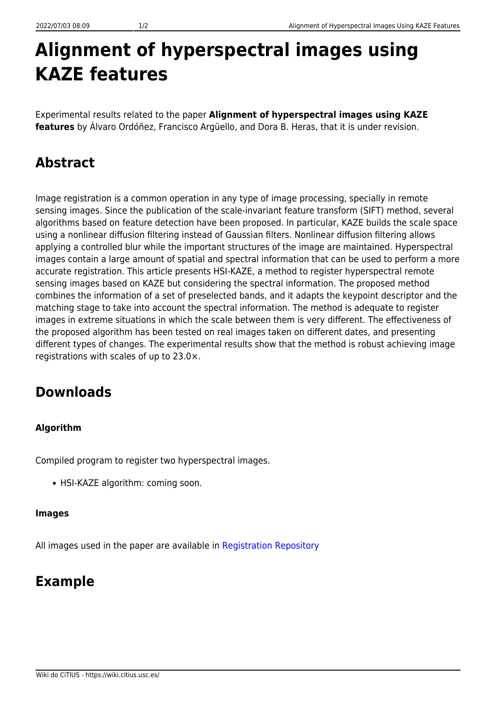# **Alignment of hyperspectral images using KAZE features**

Experimental results related to the paper **Alignment of hyperspectral images using KAZE features** by Álvaro Ordóñez, Francisco Argüello, and Dora B. Heras, that it is under revision.

## **Abstract**

Image registration is a common operation in any type of image processing, specially in remote sensing images. Since the publication of the scale-invariant feature transform (SIFT) method, several algorithms based on feature detection have been proposed. In particular, KAZE builds the scale space using a nonlinear diffusion filtering instead of Gaussian filters. Nonlinear diffusion filtering allows applying a controlled blur while the important structures of the image are maintained. Hyperspectral images contain a large amount of spatial and spectral information that can be used to perform a more accurate registration. This article presents HSI-KAZE, a method to register hyperspectral remote sensing images based on KAZE but considering the spectral information. The proposed method combines the information of a set of preselected bands, and it adapts the keypoint descriptor and the matching stage to take into account the spectral information. The method is adequate to register images in extreme situations in which the scale between them is very different. The effectiveness of the proposed algorithm has been tested on real images taken on different dates, and presenting different types of changes. The experimental results show that the method is robust achieving image registrations with scales of up to 23.0×.

### **Downloads**

#### **Algorithm**

Compiled program to register two hyperspectral images.

• HSI-KAZE algorithm: coming soon.

#### **Images**

All images used in the paper are available in [Registration Repository](https://gitlab.citius.usc.es/hiperespectral/RegistrationRepository)

### **Example**